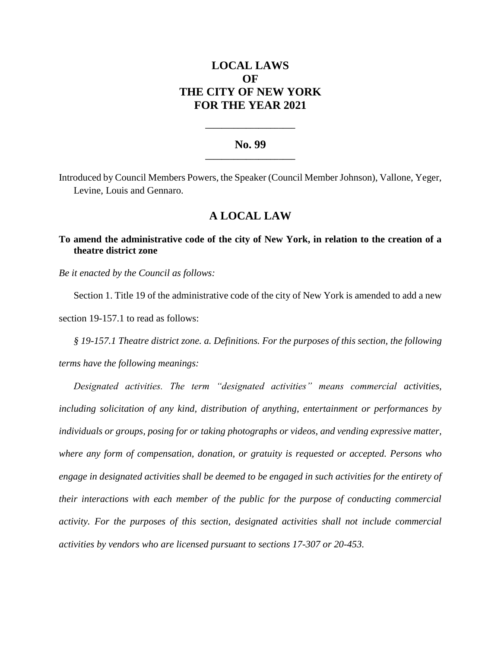# **LOCAL LAWS OF THE CITY OF NEW YORK FOR THE YEAR 2021**

### **No. 99 \_\_\_\_\_\_\_\_\_\_\_\_\_\_\_\_\_\_\_\_\_\_**

**\_\_\_\_\_\_\_\_\_\_\_\_\_\_\_\_\_\_\_\_\_\_**

Introduced by Council Members Powers, the Speaker (Council Member Johnson), Vallone, Yeger, Levine, Louis and Gennaro.

## **A LOCAL LAW**

**To amend the administrative code of the city of New York, in relation to the creation of a theatre district zone**

*Be it enacted by the Council as follows:*

Section 1. Title 19 of the administrative code of the city of New York is amended to add a new section 19-157.1 to read as follows:

*§ 19-157.1 Theatre district zone. a. Definitions. For the purposes of this section, the following terms have the following meanings:*

*Designated activities. The term "designated activities" means commercial activities, including solicitation of any kind, distribution of anything, entertainment or performances by individuals or groups, posing for or taking photographs or videos, and vending expressive matter, where any form of compensation, donation, or gratuity is requested or accepted. Persons who engage in designated activities shall be deemed to be engaged in such activities for the entirety of their interactions with each member of the public for the purpose of conducting commercial activity. For the purposes of this section, designated activities shall not include commercial activities by vendors who are licensed pursuant to sections 17-307 or 20-453.*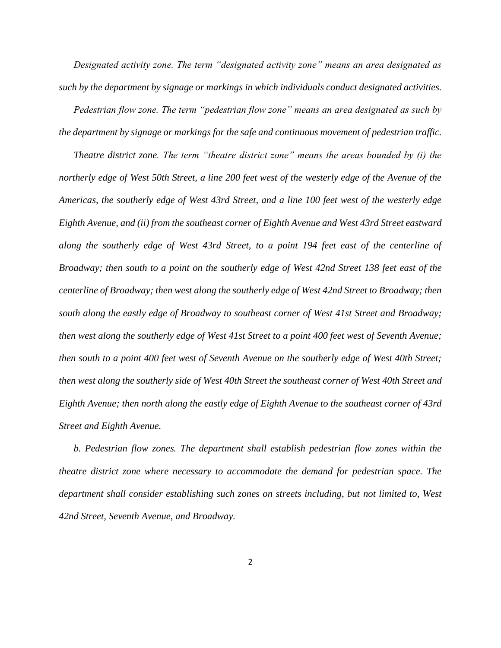*Designated activity zone. The term "designated activity zone" means an area designated as such by the department by signage or markings in which individuals conduct designated activities.* 

*Pedestrian flow zone. The term "pedestrian flow zone" means an area designated as such by the department by signage or markings for the safe and continuous movement of pedestrian traffic.*

*Theatre district zone. The term "theatre district zone" means the areas bounded by (i) the northerly edge of West 50th Street, a line 200 feet west of the westerly edge of the Avenue of the Americas, the southerly edge of West 43rd Street, and a line 100 feet west of the westerly edge Eighth Avenue, and (ii) from the southeast corner of Eighth Avenue and West 43rd Street eastward along the southerly edge of West 43rd Street, to a point 194 feet east of the centerline of Broadway; then south to a point on the southerly edge of West 42nd Street 138 feet east of the centerline of Broadway; then west along the southerly edge of West 42nd Street to Broadway; then south along the eastly edge of Broadway to southeast corner of West 41st Street and Broadway; then west along the southerly edge of West 41st Street to a point 400 feet west of Seventh Avenue; then south to a point 400 feet west of Seventh Avenue on the southerly edge of West 40th Street; then west along the southerly side of West 40th Street the southeast corner of West 40th Street and Eighth Avenue; then north along the eastly edge of Eighth Avenue to the southeast corner of 43rd Street and Eighth Avenue.*

*b. Pedestrian flow zones. The department shall establish pedestrian flow zones within the theatre district zone where necessary to accommodate the demand for pedestrian space. The department shall consider establishing such zones on streets including, but not limited to, West 42nd Street, Seventh Avenue, and Broadway.*